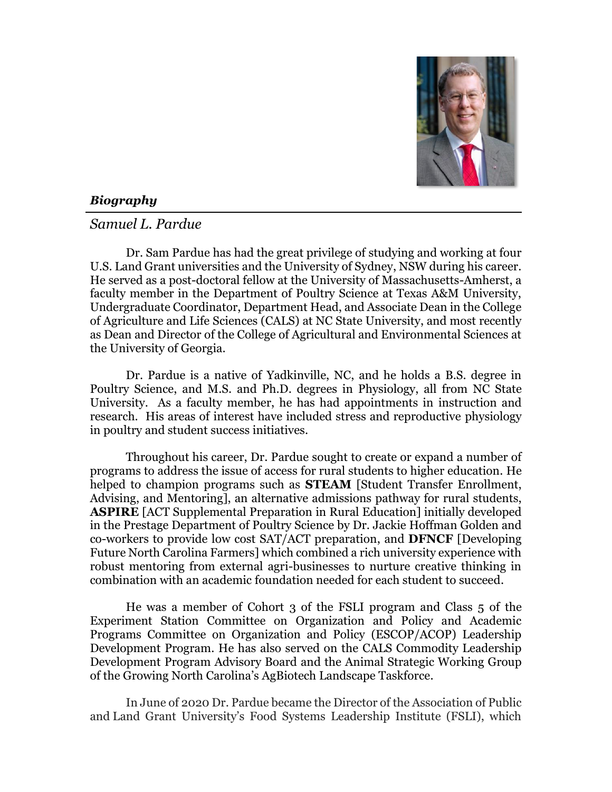

## *Biography*

## *Samuel L. Pardue*

Dr. Sam Pardue has had the great privilege of studying and working at four U.S. Land Grant universities and the University of Sydney, NSW during his career. He served as a post-doctoral fellow at the University of Massachusetts-Amherst, a faculty member in the Department of Poultry Science at Texas A&M University, Undergraduate Coordinator, Department Head, and Associate Dean in the College of Agriculture and Life Sciences (CALS) at NC State University, and most recently as Dean and Director of the College of Agricultural and Environmental Sciences at the University of Georgia.

Dr. Pardue is a native of Yadkinville, NC, and he holds a B.S. degree in Poultry Science, and M.S. and Ph.D. degrees in Physiology, all from NC State University. As a faculty member, he has had appointments in instruction and research. His areas of interest have included stress and reproductive physiology in poultry and student success initiatives.

Throughout his career, Dr. Pardue sought to create or expand a number of programs to address the issue of access for rural students to higher education. He helped to champion programs such as **STEAM** [Student Transfer Enrollment, Advising, and Mentoring], an alternative admissions pathway for rural students, **ASPIRE** [ACT Supplemental Preparation in Rural Education] initially developed in the Prestage Department of Poultry Science by Dr. Jackie Hoffman Golden and co-workers to provide low cost SAT/ACT preparation, and **DFNCF** [Developing Future North Carolina Farmers] which combined a rich university experience with robust mentoring from external agri-businesses to nurture creative thinking in combination with an academic foundation needed for each student to succeed.

He was a member of Cohort 3 of the FSLI program and Class 5 of the Experiment Station Committee on Organization and Policy and Academic Programs Committee on Organization and Policy (ESCOP/ACOP) Leadership Development Program. He has also served on the CALS Commodity Leadership Development Program Advisory Board and the Animal Strategic Working Group of the Growing North Carolina's AgBiotech Landscape Taskforce.

In June of 2020 Dr. Pardue became the Director of the Association of Public and Land Grant University's Food Systems Leadership Institute (FSLI), which